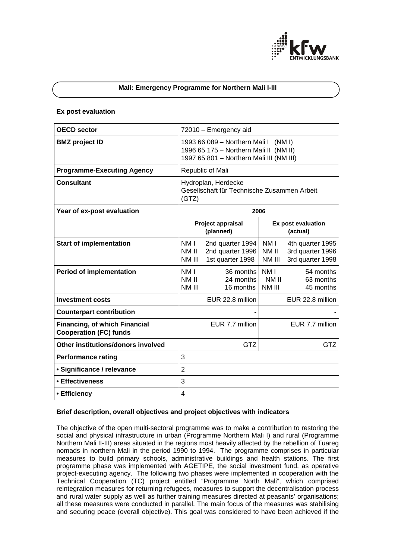

## **Mali: Emergency Programme for Northern Mali I-III**

#### **Ex post evaluation**

| <b>OECD sector</b>                                                    | 72010 - Emergency aid                                                                                                         |                                                          |                                    |                                                          |
|-----------------------------------------------------------------------|-------------------------------------------------------------------------------------------------------------------------------|----------------------------------------------------------|------------------------------------|----------------------------------------------------------|
| <b>BMZ</b> project ID                                                 | 1993 66 089 - Northern Mali I<br>(NM I)<br>1996 65 175 - Northern Mali II (NM II)<br>1997 65 801 - Northern Mali III (NM III) |                                                          |                                    |                                                          |
| <b>Programme-Executing Agency</b>                                     | Republic of Mali                                                                                                              |                                                          |                                    |                                                          |
| <b>Consultant</b>                                                     | Hydroplan, Herdecke<br>Gesellschaft für Technische Zusammen Arbeit<br>(GTZ)                                                   |                                                          |                                    |                                                          |
| Year of ex-post evaluation                                            | 2006                                                                                                                          |                                                          |                                    |                                                          |
|                                                                       | Project appraisal<br>(planned)                                                                                                |                                                          | Ex post evaluation<br>(actual)     |                                                          |
| <b>Start of implementation</b>                                        | NM I<br>NM II<br>NM III                                                                                                       | 2nd quarter 1994<br>2nd quarter 1996<br>1st quarter 1998 | NM I<br>NM II<br>NM III            | 4th quarter 1995<br>3rd quarter 1996<br>3rd quarter 1998 |
| <b>Period of implementation</b>                                       | NM I<br>NM II<br>NM III                                                                                                       | 36 months<br>24 months<br>16 months                      | NM <sub>I</sub><br>NM II<br>NM III | 54 months<br>63 months<br>45 months                      |
| <b>Investment costs</b>                                               |                                                                                                                               | EUR 22.8 million                                         |                                    | EUR 22.8 million                                         |
| <b>Counterpart contribution</b>                                       |                                                                                                                               |                                                          |                                    |                                                          |
| <b>Financing, of which Financial</b><br><b>Cooperation (FC) funds</b> |                                                                                                                               | EUR 7.7 million                                          |                                    | EUR 7.7 million                                          |
| Other institutions/donors involved                                    |                                                                                                                               | <b>GTZ</b>                                               |                                    | GTZ                                                      |
| <b>Performance rating</b>                                             | 3                                                                                                                             |                                                          |                                    |                                                          |
| • Significance / relevance                                            | $\overline{2}$                                                                                                                |                                                          |                                    |                                                          |
| • Effectiveness                                                       | 3                                                                                                                             |                                                          |                                    |                                                          |
| • Efficiency                                                          | 4                                                                                                                             |                                                          |                                    |                                                          |

# **Brief description, overall objectives and project objectives with indicators**

The objective of the open multi-sectoral programme was to make a contribution to restoring the social and physical infrastructure in urban (Programme Northern Mali I) and rural (Programme Northern Mali II-III) areas situated in the regions most heavily affected by the rebellion of Tuareg nomads in northern Mali in the period 1990 to 1994. The programme comprises in particular measures to build primary schools, administrative buildings and health stations. The first programme phase was implemented with AGETIPE, the social investment fund, as operative project-executing agency. The following two phases were implemented in cooperation with the Technical Cooperation (TC) project entitled "Programme North Mali", which comprised reintegration measures for returning refugees, measures to support the decentralisation process and rural water supply as well as further training measures directed at peasants' organisations; all these measures were conducted in parallel. The main focus of the measures was stabilising and securing peace (overall objective). This goal was considered to have been achieved if the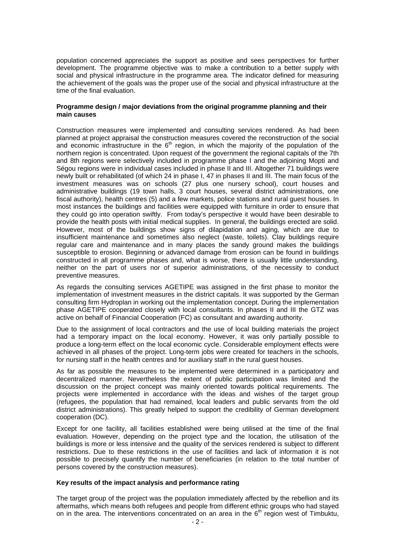population concerned appreciates the support as positive and sees perspectives for further development. The programme objective was to make a contribution to a better supply with social and physical infrastructure in the programme area. The indicator defined for measuring the achievement of the goals was the proper use of the social and physical infrastructure at the time of the final evaluation.

## **Programme design / major deviations from the original programme planning and their main causes**

Construction measures were implemented and consulting services rendered. As had been planned at project appraisal the construction measures covered the reconstruction of the social and economic infrastructure in the 6<sup>th</sup> region, in which the majority of the population of the northern region is concentrated. Upon request of the government the regional capitals of the 7th and 8th regions were selectively included in programme phase I and the adjoining Mopti and Ségou regions were in individual cases included in phase II and III. Altogether 71 buildings were newly built or rehabilitated (of which 24 in phase I, 47 in phases II and III. The main focus of the investment measures was on schools (27 plus one nursery school), court houses and administrative buildings (19 town halls, 3 court houses, several district administrations, one fiscal authority), health centres (5) and a few markets, police stations and rural guest houses. In most instances the buildings and facilities were equipped with furniture in order to ensure that they could go into operation swiftly. From today's perspective it would have been desirable to provide the health posts with initial medical supplies. In general, the buildings erected are solid. However, most of the buildings show signs of dilapidation and aging, which are due to insufficient maintenance and sometimes also neglect (waste, toilets). Clay buildings require regular care and maintenance and in many places the sandy ground makes the buildings susceptible to erosion. Beginning or advanced damage from erosion can be found in buildings constructed in all programme phases and, what is worse, there is usually little understanding, neither on the part of users nor of superior administrations, of the necessity to conduct preventive measures.

As regards the consulting services AGETIPE was assigned in the first phase to monitor the implementation of investment measures in the district capitals. It was supported by the German consulting firm Hydroplan in working out the implementation concept. During the implementation phase AGETIPE cooperated closely with local consultants. In phases II and III the GTZ was active on behalf of Financial Cooperation (FC) as consultant and awarding authority.

Due to the assignment of local contractors and the use of local building materials the project had a temporary impact on the local economy. However, it was only partially possible to produce a long-term effect on the local economic cycle. Considerable employment effects were achieved in all phases of the project. Long-term jobs were created for teachers in the schools, for nursing staff in the health centres and for auxiliary staff in the rural guest houses.

As far as possible the measures to be implemented were determined in a participatory and decentralized manner. Nevertheless the extent of public participation was limited and the discussion on the project concept was mainly oriented towards political requirements. The projects were implemented in accordance with the ideas and wishes of the target group (refugees, the population that had remained, local leaders and public servants from the old district administrations). This greatly helped to support the credibility of German development cooperation (DC).

Except for one facility, all facilities established were being utilised at the time of the final evaluation. However, depending on the project type and the location, the utilisation of the buildings is more or less intensive and the quality of the services rendered is subject to different restrictions. Due to these restrictions in the use of facilities and lack of information it is not possible to precisely quantify the number of beneficiaries (in relation to the total number of persons covered by the construction measures).

## **Key results of the impact analysis and performance rating**

The target group of the project was the population immediately affected by the rebellion and its aftermaths, which means both refugees and people from different ethnic groups who had stayed on in the area. The interventions concentrated on an area in the  $6<sup>th</sup>$  region west of Timbuktu,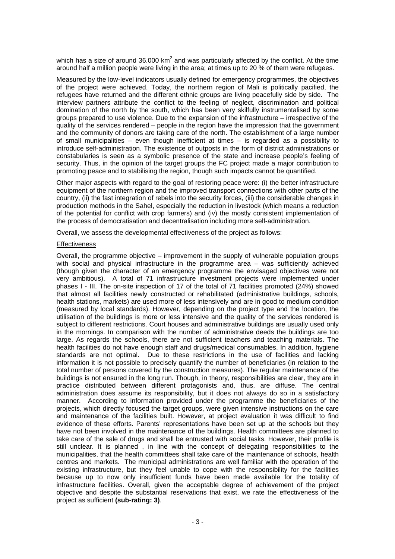which has a size of around 36.000 km<sup>2</sup> and was particularly affected by the conflict. At the time around half a million people were living in the area; at times up to 20 % of them were refugees.

Measured by the low-level indicators usually defined for emergency programmes, the objectives of the project were achieved. Today, the northern region of Mali is politically pacified, the refugees have returned and the different ethnic groups are living peacefully side by side. The interview partners attribute the conflict to the feeling of neglect, discrimination and political domination of the north by the south, which has been very skilfully instrumentalised by some groups prepared to use violence. Due to the expansion of the infrastructure – irrespective of the quality of the services rendered – people in the region have the impression that the government and the community of donors are taking care of the north. The establishment of a large number of small municipalities – even though inefficient at times – is regarded as a possibility to introduce self-administration. The existence of outposts in the form of district administrations or constabularies is seen as a symbolic presence of the state and increase people's feeling of security. Thus, in the opinion of the target groups the FC project made a major contribution to promoting peace and to stabilising the region, though such impacts cannot be quantified.

Other major aspects with regard to the goal of restoring peace were: (i) the better infrastructure equipment of the northern region and the improved transport connections with other parts of the country, (ii) the fast integration of rebels into the security forces, (iii) the considerable changes in production methods in the Sahel, especially the reduction in livestock (which means a reduction of the potential for conflict with crop farmers) and (iv) the mostly consistent implementation of the process of democratisation and decentralisation including more self-administration.

Overall, we assess the developmental effectiveness of the project as follows:

## **Effectiveness**

Overall, the programme objective – improvement in the supply of vulnerable population groups with social and physical infrastructure in the programme area – was sufficiently achieved (though given the character of an emergency programme the envisaged objectives were not very ambitious). A total of 71 infrastructure investment projects were implemented under phases I - III. The on-site inspection of 17 of the total of 71 facilities promoted (24%) showed that almost all facilities newly constructed or rehabilitated (administrative buildings, schools, health stations, markets) are used more of less intensively and are in good to medium condition (measured by local standards). However, depending on the project type and the location, the utilisation of the buildings is more or less intensive and the quality of the services rendered is subject to different restrictions. Court houses and administrative buildings are usually used only in the mornings. In comparison with the number of administrative deeds the buildings are too large. As regards the schools, there are not sufficient teachers and teaching materials. The health facilities do not have enough staff and drugs/medical consumables. In addition, hygiene standards are not optimal. Due to these restrictions in the use of facilities and lacking information it is not possible to precisely quantify the number of beneficiaries (in relation to the total number of persons covered by the construction measures). The regular maintenance of the buildings is not ensured in the long run. Though, in theory, responsibilities are clear, they are in practice distributed between different protagonists and, thus, are diffuse. The central administration does assume its responsibility, but it does not always do so in a satisfactory manner. According to information provided under the programme the beneficiaries of the projects, which directly focused the target groups, were given intensive instructions on the care and maintenance of the facilities built. However, at project evaluation it was difficult to find evidence of these efforts. Parents' representations have been set up at the schools but they have not been involved in the maintenance of the buildings. Health committees are planned to take care of the sale of drugs and shall be entrusted with social tasks. However, their profile is still unclear. It is planned , in line with the concept of delegating responsibilities to the municipalities, that the health committees shall take care of the maintenance of schools, health centres and markets. The municipal administrations are well familiar with the operation of the existing infrastructure, but they feel unable to cope with the responsibility for the facilities because up to now only insufficient funds have been made available for the totality of infrastructure facilities. Overall, given the acceptable degree of achievement of the project objective and despite the substantial reservations that exist, we rate the effectiveness of the project as sufficient **(sub-rating: 3)**.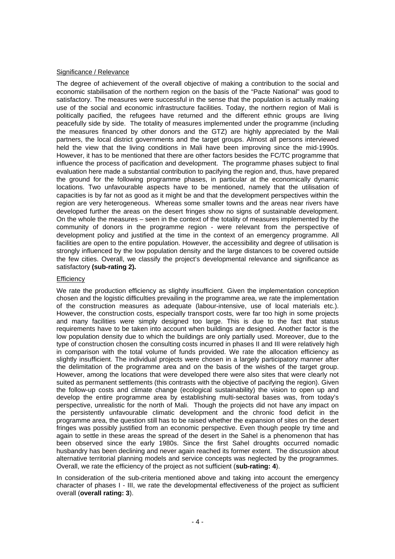## Significance / Relevance

The degree of achievement of the overall objective of making a contribution to the social and economic stabilisation of the northern region on the basis of the "Pacte National" was good to satisfactory. The measures were successful in the sense that the population is actually making use of the social and economic infrastructure facilities. Today, the northern region of Mali is politically pacified, the refugees have returned and the different ethnic groups are living peacefully side by side. The totality of measures implemented under the programme (including the measures financed by other donors and the GTZ) are highly appreciated by the Mali partners, the local district governments and the target groups. Almost all persons interviewed held the view that the living conditions in Mali have been improving since the mid-1990s. However, it has to be mentioned that there are other factors besides the FC/TC programme that influence the process of pacification and development. The programme phases subject to final evaluation here made a substantial contribution to pacifying the region and, thus, have prepared the ground for the following programme phases, in particular at the economically dynamic locations. Two unfavourable aspects have to be mentioned, namely that the utilisation of capacities is by far not as good as it might be and that the development perspectives within the region are very heterogeneous. Whereas some smaller towns and the areas near rivers have developed further the areas on the desert fringes show no signs of sustainable development. On the whole the measures – seen in the context of the totality of measures implemented by the community of donors in the programme region - were relevant from the perspective of development policy and justified at the time in the context of an emergency programme. All facilities are open to the entire population. However, the accessibility and degree of utilisation is strongly influenced by the low population density and the large distances to be covered outside the few cities. Overall, we classify the project's developmental relevance and significance as satisfactory **(sub-rating 2).**

#### **Efficiency**

We rate the production efficiency as slightly insufficient. Given the implementation conception chosen and the logistic difficulties prevailing in the programme area, we rate the implementation of the construction measures as adequate (labour-intensive, use of local materials etc.). However, the construction costs, especially transport costs, were far too high in some projects and many facilities were simply designed too large. This is due to the fact that status requirements have to be taken into account when buildings are designed. Another factor is the low population density due to which the buildings are only partially used. Moreover, due to the type of construction chosen the consulting costs incurred in phases II and III were relatively high in comparison with the total volume of funds provided. We rate the allocation efficiency as slightly insufficient. The individual projects were chosen in a largely participatory manner after the delimitation of the programme area and on the basis of the wishes of the target group. However, among the locations that were developed there were also sites that were clearly not suited as permanent settlements (this contrasts with the objective of pacifying the region). Given the follow-up costs and climate change (ecological sustainability) the vision to open up and develop the entire programme area by establishing multi-sectoral bases was, from today's perspective, unrealistic for the north of Mali. Though the projects did not have any impact on the persistently unfavourable climatic development and the chronic food deficit in the programme area, the question still has to be raised whether the expansion of sites on the desert fringes was possibly justified from an economic perspective. Even though people try time and again to settle in these areas the spread of the desert in the Sahel is a phenomenon that has been observed since the early 1980s. Since the first Sahel droughts occurred nomadic husbandry has been declining and never again reached its former extent. The discussion about alternative territorial planning models and service concepts was neglected by the programmes. Overall, we rate the efficiency of the project as not sufficient (**sub-rating: 4**).

In consideration of the sub-criteria mentioned above and taking into account the emergency character of phases I - III, we rate the developmental effectiveness of the project as sufficient overall (**overall rating: 3**).